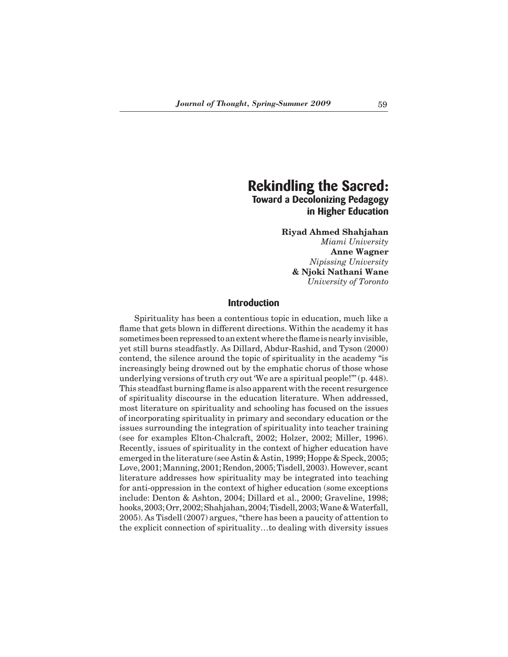# **Rekindling the Sacred: Toward a Decolonizing Pedagogy in Higher Education**

## **Riyad Ahmed Shahjahan**

*Miami University* **Anne Wagner** *Nipissing University* **& Njoki Nathani Wane** *University of Toronto*

#### **Introduction**

 Spirituality has been a contentious topic in education, much like a flame that gets blown in different directions. Within the academy it has sometimes been repressed to an extent where the flame is nearly invisible, yet still burns steadfastly. As Dillard, Abdur-Rashid, and Tyson (2000) contend, the silence around the topic of spirituality in the academy "is increasingly being drowned out by the emphatic chorus of those whose underlying versions of truth cry out 'We are a spiritual people!''' (p. 448). This steadfast burning flame is also apparent with the recent resurgence of spirituality discourse in the education literature. When addressed, most literature on spirituality and schooling has focused on the issues of incorporating spirituality in primary and secondary education or the issues surrounding the integration of spirituality into teacher training (see for examples Elton-Chalcraft, 2002; Holzer, 2002; Miller, 1996). Recently, issues of spirituality in the context of higher education have emerged in the literature (see Astin & Astin, 1999; Hoppe & Speck, 2005; Love, 2001; Manning, 2001; Rendon, 2005; Tisdell, 2003). However, scant literature addresses how spirituality may be integrated into teaching for anti-oppression in the context of higher education (some exceptions include: Denton & Ashton, 2004; Dillard et al., 2000; Graveline, 1998; hooks, 2003; Orr, 2002; Shahjahan, 2004; Tisdell, 2003; Wane & Waterfall, 2005). As Tisdell (2007) argues, "there has been a paucity of attention to the explicit connection of spirituality…to dealing with diversity issues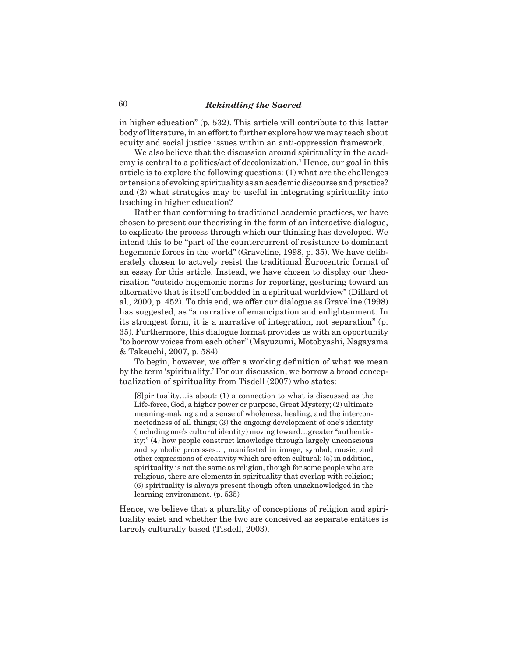in higher education" (p. 532). This article will contribute to this latter body of literature, in an effort to further explore how we may teach about equity and social justice issues within an anti-oppression framework.

We also believe that the discussion around spirituality in the academy is central to a politics/act of decolonization.<sup>1</sup> Hence, our goal in this article is to explore the following questions: **(**1) what are the challenges or tensions of evoking spirituality as an academic discourse and practice? and (2) what strategies may be useful in integrating spirituality into teaching in higher education?

Rather than conforming to traditional academic practices, we have chosen to present our theorizing in the form of an interactive dialogue, to explicate the process through which our thinking has developed. We intend this to be "part of the countercurrent of resistance to dominant hegemonic forces in the world" (Graveline, 1998, p. 35). We have deliberately chosen to actively resist the traditional Eurocentric format of an essay for this article. Instead, we have chosen to display our theorization "outside hegemonic norms for reporting, gesturing toward an alternative that is itself embedded in a spiritual worldview" (Dillard et al., 2000, p. 452). To this end, we offer our dialogue as Graveline (1998) has suggested, as "a narrative of emancipation and enlightenment. In its strongest form, it is a narrative of integration, not separation" (p. 35). Furthermore, this dialogue format provides us with an opportunity "to borrow voices from each other" (Mayuzumi, Motobyashi, Nagayama & Takeuchi, 2007, p. 584)

To begin, however, we offer a working definition of what we mean by the term 'spirituality.' For our discussion, we borrow a broad conceptualization of spirituality from Tisdell (2007) who states:

[S]pirituality…is about: (1) a connection to what is discussed as the Life-force, God, a higher power or purpose, Great Mystery; (2) ultimate meaning-making and a sense of wholeness, healing, and the interconnectedness of all things; (3) the ongoing development of one's identity (including one's cultural identity) moving toward…greater "authenticity;" (4) how people construct knowledge through largely unconscious and symbolic processes…, manifested in image, symbol, music, and other expressions of creativity which are often cultural; (5) in addition, spirituality is not the same as religion, though for some people who are religious, there are elements in spirituality that overlap with religion; (6) spirituality is always present though often unacknowledged in the learning environment. (p. 535)

Hence, we believe that a plurality of conceptions of religion and spirituality exist and whether the two are conceived as separate entities is largely culturally based (Tisdell, 2003).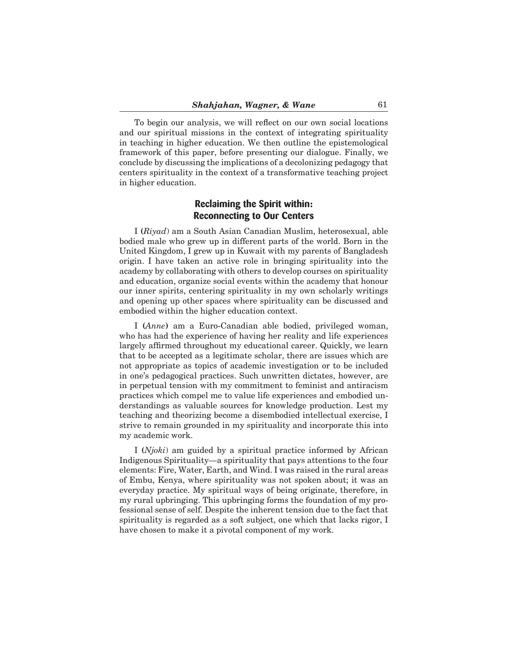To begin our analysis, we will reflect on our own social locations and our spiritual missions in the context of integrating spirituality in teaching in higher education. We then outline the epistemological framework of this paper, before presenting our dialogue. Finally, we conclude by discussing the implications of a decolonizing pedagogy that centers spirituality in the context of a transformative teaching project in higher education.

## **Reclaiming the Spirit within: Reconnecting to Our Centers**

I **(***Riyad*) am a South Asian Canadian Muslim, heterosexual, able bodied male who grew up in different parts of the world. Born in the United Kingdom, I grew up in Kuwait with my parents of Bangladesh origin. I have taken an active role in bringing spirituality into the academy by collaborating with others to develop courses on spirituality and education, organize social events within the academy that honour our inner spirits, centering spirituality in my own scholarly writings and opening up other spaces where spirituality can be discussed and embodied within the higher education context.

I **(***Anne***)** am a Euro-Canadian able bodied, privileged woman, who has had the experience of having her reality and life experiences largely affirmed throughout my educational career. Quickly, we learn that to be accepted as a legitimate scholar, there are issues which are not appropriate as topics of academic investigation or to be included in one's pedagogical practices. Such unwritten dictates, however, are in perpetual tension with my commitment to feminist and antiracism practices which compel me to value life experiences and embodied understandings as valuable sources for knowledge production. Lest my teaching and theorizing become a disembodied intellectual exercise, I strive to remain grounded in my spirituality and incorporate this into my academic work.

I **(***Njoki*) am guided by a spiritual practice informed by African Indigenous Spirituality—a spirituality that pays attentions to the four elements: Fire, Water, Earth, and Wind. I was raised in the rural areas of Embu, Kenya, where spirituality was not spoken about; it was an everyday practice. My spiritual ways of being originate, therefore, in my rural upbringing. This upbringing forms the foundation of my professional sense of self. Despite the inherent tension due to the fact that spirituality is regarded as a soft subject, one which that lacks rigor, I have chosen to make it a pivotal component of my work.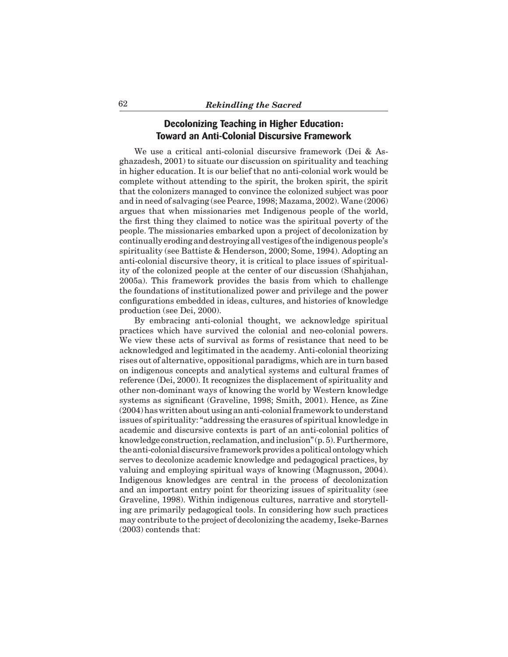# **Decolonizing Teaching in Higher Education: Toward an Anti-Colonial Discursive Framework**

We use a critical anti-colonial discursive framework (Dei & Asghazadesh, 2001) to situate our discussion on spirituality and teaching in higher education. It is our belief that no anti-colonial work would be complete without attending to the spirit, the broken spirit, the spirit that the colonizers managed to convince the colonized subject was poor and in need of salvaging (see Pearce, 1998; Mazama, 2002). Wane (2006) argues that when missionaries met Indigenous people of the world, the first thing they claimed to notice was the spiritual poverty of the people. The missionaries embarked upon a project of decolonization by continually eroding and destroying all vestiges of the indigenous people's spirituality (see Battiste & Henderson, 2000; Some, 1994). Adopting an anti-colonial discursive theory, it is critical to place issues of spirituality of the colonized people at the center of our discussion (Shahjahan, 2005a). This framework provides the basis from which to challenge the foundations of institutionalized power and privilege and the power configurations embedded in ideas, cultures, and histories of knowledge production (see Dei, 2000).

By embracing anti-colonial thought, we acknowledge spiritual practices which have survived the colonial and neo-colonial powers. We view these acts of survival as forms of resistance that need to be acknowledged and legitimated in the academy. Anti-colonial theorizing rises out of alternative, oppositional paradigms, which are in turn based on indigenous concepts and analytical systems and cultural frames of reference (Dei, 2000). It recognizes the displacement of spirituality and other non-dominant ways of knowing the world by Western knowledge systems as significant (Graveline, 1998; Smith, 2001). Hence, as Zine (2004) has written about using an anti-colonial framework to understand issues of spirituality: "addressing the erasures of spiritual knowledge in academic and discursive contexts is part of an anti-colonial politics of knowledge construction, reclamation, and inclusion" (p. 5). Furthermore, the anti-colonial discursive framework provides a political ontology which serves to decolonize academic knowledge and pedagogical practices, by valuing and employing spiritual ways of knowing (Magnusson, 2004). Indigenous knowledges are central in the process of decolonization and an important entry point for theorizing issues of spirituality (see Graveline, 1998). Within indigenous cultures, narrative and storytelling are primarily pedagogical tools. In considering how such practices may contribute to the project of decolonizing the academy, Iseke-Barnes (2003) contends that: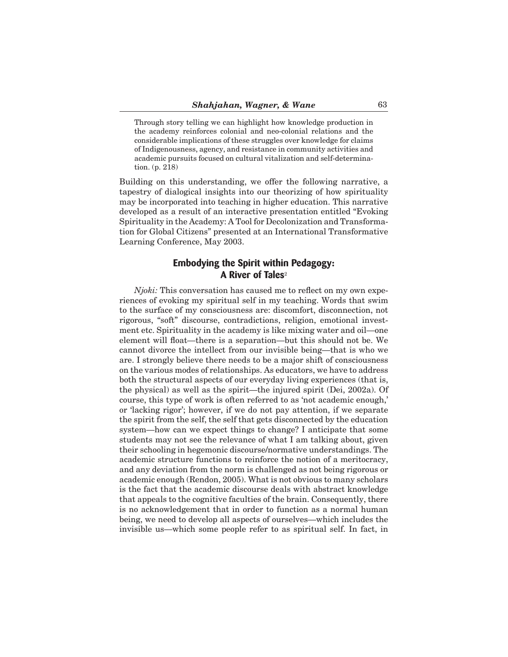Through story telling we can highlight how knowledge production in the academy reinforces colonial and neo-colonial relations and the considerable implications of these struggles over knowledge for claims of Indigenousness, agency, and resistance in community activities and academic pursuits focused on cultural vitalization and self-determination. (p. 218)

Building on this understanding, we offer the following narrative, a tapestry of dialogical insights into our theorizing of how spirituality may be incorporated into teaching in higher education. This narrative developed as a result of an interactive presentation entitled "Evoking Spirituality in the Academy: A Tool for Decolonization and Transformation for Global Citizens" presented at an International Transformative Learning Conference, May 2003.

# **Embodying the Spirit within Pedagogy: A River of Tales**<sup>2</sup>

*Njoki:* This conversation has caused me to reflect on my own experiences of evoking my spiritual self in my teaching. Words that swim to the surface of my consciousness are: discomfort, disconnection, not rigorous, "soft" discourse, contradictions, religion, emotional investment etc. Spirituality in the academy is like mixing water and oil—one element will float—there is a separation—but this should not be. We cannot divorce the intellect from our invisible being—that is who we are. I strongly believe there needs to be a major shift of consciousness on the various modes of relationships. As educators, we have to address both the structural aspects of our everyday living experiences (that is, the physical) as well as the spirit—the injured spirit (Dei, 2002a). Of course, this type of work is often referred to as 'not academic enough,' or 'lacking rigor'; however, if we do not pay attention, if we separate the spirit from the self, the self that gets disconnected by the education system—how can we expect things to change? I anticipate that some students may not see the relevance of what I am talking about, given their schooling in hegemonic discourse/normative understandings. The academic structure functions to reinforce the notion of a meritocracy, and any deviation from the norm is challenged as not being rigorous or academic enough (Rendon, 2005). What is not obvious to many scholars is the fact that the academic discourse deals with abstract knowledge that appeals to the cognitive faculties of the brain. Consequently, there is no acknowledgement that in order to function as a normal human being, we need to develop all aspects of ourselves—which includes the invisible us—which some people refer to as spiritual self. In fact, in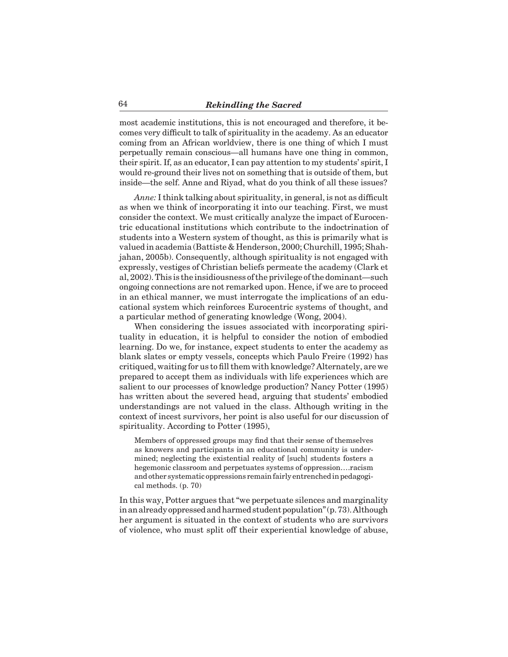most academic institutions, this is not encouraged and therefore, it becomes very difficult to talk of spirituality in the academy. As an educator coming from an African worldview, there is one thing of which I must perpetually remain conscious—all humans have one thing in common, their spirit. If, as an educator, I can pay attention to my students' spirit, I would re-ground their lives not on something that is outside of them, but inside—the self. Anne and Riyad, what do you think of all these issues?

*Anne:* I think talking about spirituality, in general, is not as difficult as when we think of incorporating it into our teaching. First, we must consider the context. We must critically analyze the impact of Eurocentric educational institutions which contribute to the indoctrination of students into a Western system of thought, as this is primarily what is valued in academia (Battiste & Henderson, 2000; Churchill, 1995; Shahjahan, 2005b). Consequently, although spirituality is not engaged with expressly, vestiges of Christian beliefs permeate the academy (Clark et al, 2002). This is the insidiousness of the privilege of the dominant—such ongoing connections are not remarked upon. Hence, if we are to proceed in an ethical manner, we must interrogate the implications of an educational system which reinforces Eurocentric systems of thought, and a particular method of generating knowledge (Wong, 2004).

When considering the issues associated with incorporating spirituality in education, it is helpful to consider the notion of embodied learning. Do we, for instance, expect students to enter the academy as blank slates or empty vessels, concepts which Paulo Freire (1992) has critiqued, waiting for us to fill them with knowledge? Alternately, are we prepared to accept them as individuals with life experiences which are salient to our processes of knowledge production? Nancy Potter (1995) has written about the severed head, arguing that students' embodied understandings are not valued in the class. Although writing in the context of incest survivors, her point is also useful for our discussion of spirituality. According to Potter (1995),

Members of oppressed groups may find that their sense of themselves as knowers and participants in an educational community is undermined; neglecting the existential reality of [such] students fosters a hegemonic classroom and perpetuates systems of oppression….racism and other systematic oppressions remain fairly entrenched in pedagogical methods. (p. 70)

In this way, Potter argues that "we perpetuate silences and marginality in an already oppressed and harmed student population" (p. 73). Although her argument is situated in the context of students who are survivors of violence, who must split off their experiential knowledge of abuse,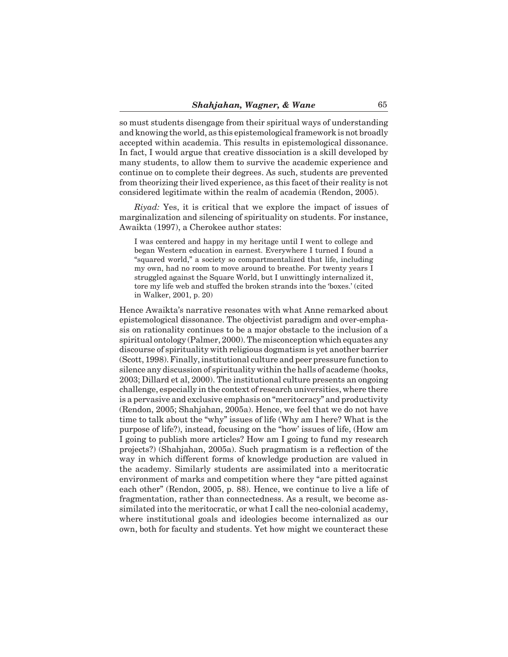so must students disengage from their spiritual ways of understanding and knowing the world, as this epistemological framework is not broadly accepted within academia. This results in epistemological dissonance. In fact, I would argue that creative dissociation is a skill developed by many students, to allow them to survive the academic experience and continue on to complete their degrees. As such, students are prevented from theorizing their lived experience, as this facet of their reality is not considered legitimate within the realm of academia (Rendon, 2005).

*Riyad:* Yes, it is critical that we explore the impact of issues of marginalization and silencing of spirituality on students. For instance, Awaikta (1997), a Cherokee author states:

I was centered and happy in my heritage until I went to college and began Western education in earnest. Everywhere I turned I found a "squared world," a society so compartmentalized that life, including my own, had no room to move around to breathe. For twenty years I struggled against the Square World, but I unwittingly internalized it, tore my life web and stuffed the broken strands into the 'boxes.' (cited in Walker, 2001, p. 20)

Hence Awaikta's narrative resonates with what Anne remarked about epistemological dissonance. The objectivist paradigm and over-emphasis on rationality continues to be a major obstacle to the inclusion of a spiritual ontology (Palmer, 2000). The misconception which equates any discourse of spirituality with religious dogmatism is yet another barrier (Scott, 1998). Finally, institutional culture and peer pressure function to silence any discussion of spirituality within the halls of academe (hooks, 2003; Dillard et al, 2000). The institutional culture presents an ongoing challenge, especially in the context of research universities, where there is a pervasive and exclusive emphasis on "meritocracy" and productivity (Rendon, 2005; Shahjahan, 2005a). Hence, we feel that we do not have time to talk about the "why" issues of life (Why am I here? What is the purpose of life?), instead, focusing on the "how' issues of life, (How am I going to publish more articles? How am I going to fund my research projects?) (Shahjahan, 2005a). Such pragmatism is a reflection of the way in which different forms of knowledge production are valued in the academy. Similarly students are assimilated into a meritocratic environment of marks and competition where they "are pitted against each other" (Rendon, 2005, p. 88). Hence, we continue to live a life of fragmentation, rather than connectedness. As a result, we become assimilated into the meritocratic, or what I call the neo-colonial academy, where institutional goals and ideologies become internalized as our own, both for faculty and students. Yet how might we counteract these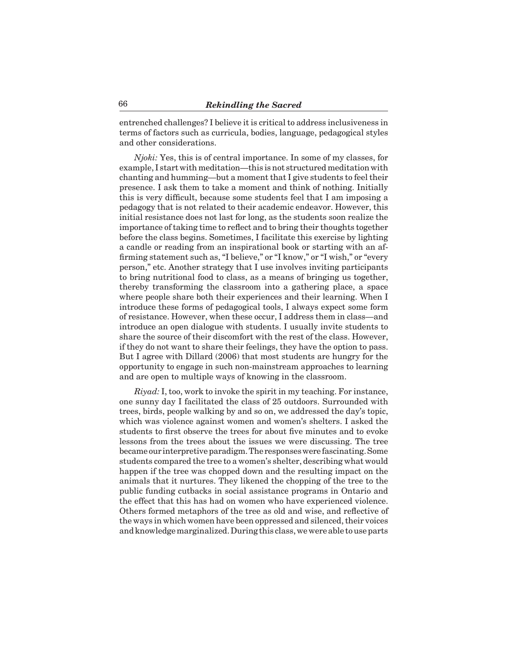entrenched challenges? I believe it is critical to address inclusiveness in terms of factors such as curricula, bodies, language, pedagogical styles and other considerations.

*Njoki:* Yes, this is of central importance. In some of my classes, for example, I start with meditation—this is not structured meditation with chanting and humming—but a moment that I give students to feel their presence. I ask them to take a moment and think of nothing. Initially this is very difficult, because some students feel that I am imposing a pedagogy that is not related to their academic endeavor. However, this initial resistance does not last for long, as the students soon realize the importance of taking time to reflect and to bring their thoughts together before the class begins. Sometimes, I facilitate this exercise by lighting a candle or reading from an inspirational book or starting with an affirming statement such as, "I believe," or "I know," or "I wish," or "every person," etc. Another strategy that I use involves inviting participants to bring nutritional food to class, as a means of bringing us together, thereby transforming the classroom into a gathering place, a space where people share both their experiences and their learning. When I introduce these forms of pedagogical tools, I always expect some form of resistance. However, when these occur, I address them in class—and introduce an open dialogue with students. I usually invite students to share the source of their discomfort with the rest of the class. However, if they do not want to share their feelings, they have the option to pass. But I agree with Dillard (2006) that most students are hungry for the opportunity to engage in such non-mainstream approaches to learning and are open to multiple ways of knowing in the classroom.

*Riyad:* I, too, work to invoke the spirit in my teaching. For instance, one sunny day I facilitated the class of 25 outdoors. Surrounded with trees, birds, people walking by and so on, we addressed the day's topic, which was violence against women and women's shelters. I asked the students to first observe the trees for about five minutes and to evoke lessons from the trees about the issues we were discussing. The tree became our interpretive paradigm. The responses were fascinating. Some students compared the tree to a women's shelter, describing what would happen if the tree was chopped down and the resulting impact on the animals that it nurtures. They likened the chopping of the tree to the public funding cutbacks in social assistance programs in Ontario and the effect that this has had on women who have experienced violence. Others formed metaphors of the tree as old and wise, and reflective of the ways in which women have been oppressed and silenced, their voices and knowledge marginalized. During this class, we were able to use parts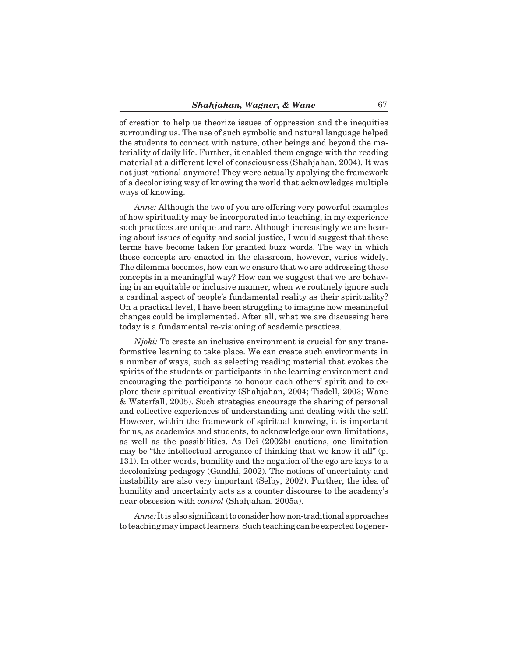of creation to help us theorize issues of oppression and the inequities surrounding us. The use of such symbolic and natural language helped the students to connect with nature, other beings and beyond the materiality of daily life. Further, it enabled them engage with the reading material at a different level of consciousness (Shahjahan, 2004). It was not just rational anymore! They were actually applying the framework of a decolonizing way of knowing the world that acknowledges multiple ways of knowing.

*Anne:* Although the two of you are offering very powerful examples of how spirituality may be incorporated into teaching, in my experience such practices are unique and rare. Although increasingly we are hearing about issues of equity and social justice, I would suggest that these terms have become taken for granted buzz words. The way in which these concepts are enacted in the classroom, however, varies widely. The dilemma becomes, how can we ensure that we are addressing these concepts in a meaningful way? How can we suggest that we are behaving in an equitable or inclusive manner, when we routinely ignore such a cardinal aspect of people's fundamental reality as their spirituality? On a practical level, I have been struggling to imagine how meaningful changes could be implemented. After all, what we are discussing here today is a fundamental re-visioning of academic practices.

*Njoki:* To create an inclusive environment is crucial for any transformative learning to take place. We can create such environments in a number of ways, such as selecting reading material that evokes the spirits of the students or participants in the learning environment and encouraging the participants to honour each others' spirit and to explore their spiritual creativity (Shahjahan, 2004; Tisdell, 2003; Wane & Waterfall, 2005). Such strategies encourage the sharing of personal and collective experiences of understanding and dealing with the self. However, within the framework of spiritual knowing, it is important for us, as academics and students, to acknowledge our own limitations, as well as the possibilities. As Dei (2002b) cautions, one limitation may be "the intellectual arrogance of thinking that we know it all" (p. 131). In other words, humility and the negation of the ego are keys to a decolonizing pedagogy (Gandhi, 2002). The notions of uncertainty and instability are also very important (Selby, 2002). Further, the idea of humility and uncertainty acts as a counter discourse to the academy's near obsession with *control* (Shahjahan, 2005a).

*Anne:* It is also significant to consider how non-traditional approaches to teaching may impact learners. Such teaching can be expected to gener-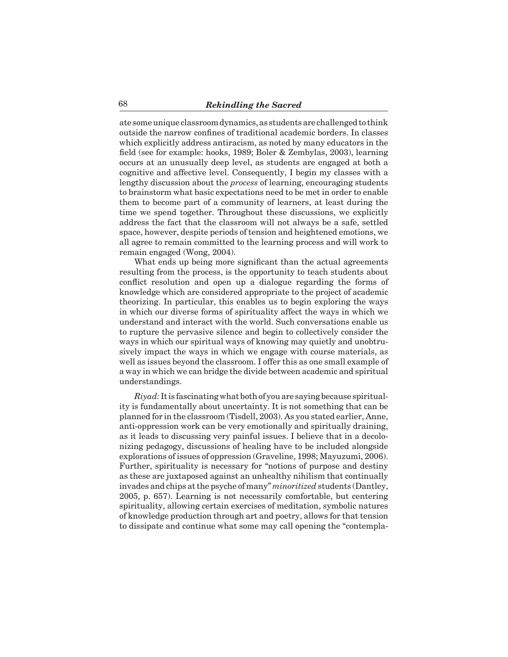ate some unique classroom dynamics, as students are challenged to think outside the narrow confines of traditional academic borders. In classes which explicitly address antiracism, as noted by many educators in the field (see for example: hooks, 1989; Boler & Zembylas, 2003), learning occurs at an unusually deep level, as students are engaged at both a cognitive and affective level. Consequently, I begin my classes with a lengthy discussion about the *process* of learning, encouraging students to brainstorm what basic expectations need to be met in order to enable them to become part of a community of learners, at least during the time we spend together. Throughout these discussions, we explicitly address the fact that the classroom will not always be a safe, settled space, however, despite periods of tension and heightened emotions, we all agree to remain committed to the learning process and will work to remain engaged (Wong, 2004).

What ends up being more significant than the actual agreements resulting from the process, is the opportunity to teach students about conflict resolution and open up a dialogue regarding the forms of knowledge which are considered appropriate to the project of academic theorizing. In particular, this enables us to begin exploring the ways in which our diverse forms of spirituality affect the ways in which we understand and interact with the world. Such conversations enable us to rupture the pervasive silence and begin to collectively consider the ways in which our spiritual ways of knowing may quietly and unobtrusively impact the ways in which we engage with course materials, as well as issues beyond the classroom. I offer this as one small example of a way in which we can bridge the divide between academic and spiritual understandings.

*Riyad:* It is fascinating what both of you are saying because spirituality is fundamentally about uncertainty. It is not something that can be planned for in the classroom (Tisdell, 2003). As you stated earlier, Anne, anti-oppression work can be very emotionally and spiritually draining, as it leads to discussing very painful issues. I believe that in a decolonizing pedagogy, discussions of healing have to be included alongside explorations of issues of oppression (Graveline, 1998; Mayuzumi, 2006). Further, spirituality is necessary for "notions of purpose and destiny as these are juxtaposed against an unhealthy nihilism that continually invades and chips at the psyche of many" *minoritized* students (Dantley, 2005, p. 657). Learning is not necessarily comfortable, but centering spirituality, allowing certain exercises of meditation, symbolic natures of knowledge production through art and poetry, allows for that tension to dissipate and continue what some may call opening the "contempla-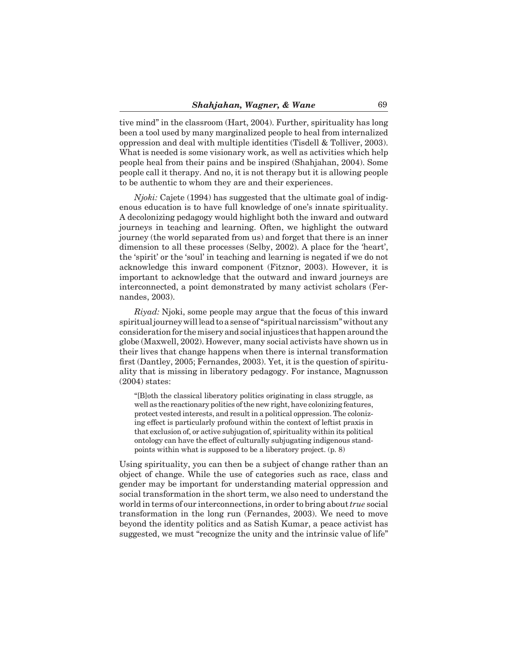tive mind" in the classroom (Hart, 2004). Further, spirituality has long been a tool used by many marginalized people to heal from internalized oppression and deal with multiple identities (Tisdell & Tolliver, 2003). What is needed is some visionary work, as well as activities which help people heal from their pains and be inspired (Shahjahan, 2004). Some people call it therapy. And no, it is not therapy but it is allowing people to be authentic to whom they are and their experiences.

*Njoki:* Cajete (1994) has suggested that the ultimate goal of indigenous education is to have full knowledge of one's innate spirituality. A decolonizing pedagogy would highlight both the inward and outward journeys in teaching and learning. Often, we highlight the outward journey (the world separated from us) and forget that there is an inner dimension to all these processes (Selby, 2002). A place for the 'heart', the 'spirit' or the 'soul' in teaching and learning is negated if we do not acknowledge this inward component (Fitznor, 2003). However, it is important to acknowledge that the outward and inward journeys are interconnected, a point demonstrated by many activist scholars (Fernandes, 2003).

*Riyad:* Njoki, some people may argue that the focus of this inward spiritual journey will lead to a sense of "spiritual narcissism" without any consideration for the misery and social injustices that happen around the globe (Maxwell, 2002). However, many social activists have shown us in their lives that change happens when there is internal transformation first (Dantley, 2005; Fernandes, 2003). Yet, it is the question of spirituality that is missing in liberatory pedagogy. For instance, Magnusson (2004) states:

"[B]oth the classical liberatory politics originating in class struggle, as well as the reactionary politics of the new right, have colonizing features, protect vested interests, and result in a political oppression. The colonizing effect is particularly profound within the context of leftist praxis in that exclusion of, or active subjugation of, spirituality within its political ontology can have the effect of culturally subjugating indigenous standpoints within what is supposed to be a liberatory project. (p. 8)

Using spirituality, you can then be a subject of change rather than an object of change. While the use of categories such as race, class and gender may be important for understanding material oppression and social transformation in the short term, we also need to understand the world in terms of our interconnections, in order to bring about *true* social transformation in the long run (Fernandes, 2003). We need to move beyond the identity politics and as Satish Kumar, a peace activist has suggested, we must "recognize the unity and the intrinsic value of life"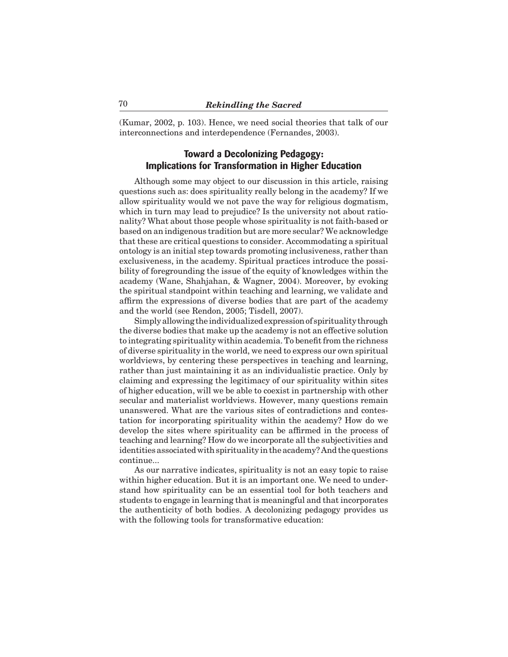(Kumar, 2002, p. 103). Hence, we need social theories that talk of our interconnections and interdependence (Fernandes, 2003).

# **Toward a Decolonizing Pedagogy: Implications for Transformation in Higher Education**

Although some may object to our discussion in this article, raising questions such as: does spirituality really belong in the academy? If we allow spirituality would we not pave the way for religious dogmatism, which in turn may lead to prejudice? Is the university not about rationality? What about those people whose spirituality is not faith-based or based on an indigenous tradition but are more secular? We acknowledge that these are critical questions to consider. Accommodating a spiritual ontology is an initial step towards promoting inclusiveness, rather than exclusiveness, in the academy. Spiritual practices introduce the possibility of foregrounding the issue of the equity of knowledges within the academy (Wane, Shahjahan, & Wagner, 2004). Moreover, by evoking the spiritual standpoint within teaching and learning, we validate and affirm the expressions of diverse bodies that are part of the academy and the world (see Rendon, 2005; Tisdell, 2007).

Simply allowing the individualized expression of spirituality through the diverse bodies that make up the academy is not an effective solution to integrating spirituality within academia. To benefit from the richness of diverse spirituality in the world, we need to express our own spiritual worldviews, by centering these perspectives in teaching and learning, rather than just maintaining it as an individualistic practice. Only by claiming and expressing the legitimacy of our spirituality within sites of higher education, will we be able to coexist in partnership with other secular and materialist worldviews. However, many questions remain unanswered. What are the various sites of contradictions and contestation for incorporating spirituality within the academy? How do we develop the sites where spirituality can be affirmed in the process of teaching and learning? How do we incorporate all the subjectivities and identities associated with spirituality in the academy? And the questions continue...

As our narrative indicates, spirituality is not an easy topic to raise within higher education. But it is an important one. We need to understand how spirituality can be an essential tool for both teachers and students to engage in learning that is meaningful and that incorporates the authenticity of both bodies. A decolonizing pedagogy provides us with the following tools for transformative education: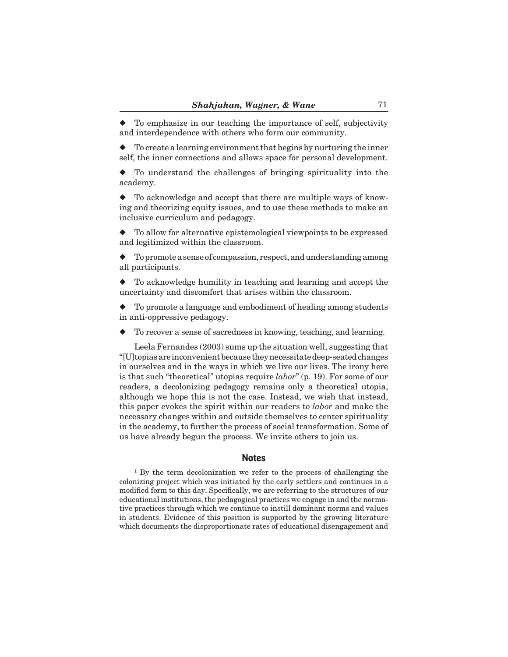$\blacklozenge$  To emphasize in our teaching the importance of self, subjectivity and interdependence with others who form our community.

 $\bullet$  To create a learning environment that begins by nurturing the inner self, the inner connections and allows space for personal development.

 $\blacklozenge$  To understand the challenges of bringing spirituality into the academy.

 $\blacklozenge$  To acknowledge and accept that there are multiple ways of knowing and theorizing equity issues, and to use these methods to make an inclusive curriculum and pedagogy.

 $\blacklozenge$  To allow for alternative epistemological viewpoints to be expressed and legitimized within the classroom.

To promote a sense of compassion, respect, and understanding among all participants.

To acknowledge humility in teaching and learning and accept the uncertainty and discomfort that arises within the classroom.

To promote a language and embodiment of healing among students in anti-oppressive pedagogy.

To recover a sense of sacredness in knowing, teaching, and learning.

Leela Fernandes (2003) sums up the situation well, suggesting that "[U]topias are inconvenient because they necessitate deep-seated changes in ourselves and in the ways in which we live our lives. The irony here is that such "theoretical" utopias require *labor*" (p. 19). For some of our readers, a decolonizing pedagogy remains only a theoretical utopia, although we hope this is not the case. Instead, we wish that instead, this paper evokes the spirit within our readers to *labor* and make the necessary changes within and outside themselves to center spirituality in the academy, to further the process of social transformation. Some of us have already begun the process. We invite others to join us.

#### **Notes**

<sup>1</sup> By the term decolonization we refer to the process of challenging the colonizing project which was initiated by the early settlers and continues in a modified form to this day. Specifically, we are referring to the structures of our educational institutions, the pedagogical practices we engage in and the normative practices through which we continue to instill dominant norms and values in students. Evidence of this position is supported by the growing literature which documents the disproportionate rates of educational disengagement and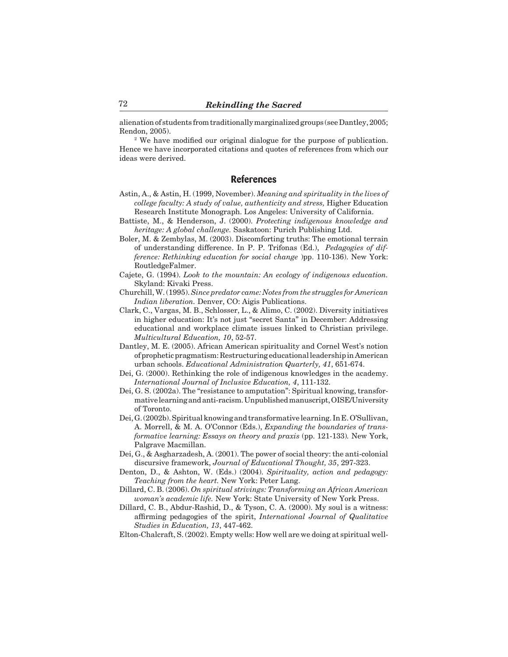alienation of students from traditionally marginalized groups (see Dantley, 2005; Rendon, 2005).

<sup>2</sup> We have modified our original dialogue for the purpose of publication. Hence we have incorporated citations and quotes of references from which our ideas were derived.

#### **References**

- Astin, A., & Astin, H. (1999, November). *Meaning and spirituality in the lives of college faculty: A study of value, authenticity and stress,* Higher Education Research Institute Monograph. Los Angeles: University of California.
- Battiste, M., & Henderson, J. (2000). *Protecting indigenous knowledge and heritage: A global challenge.* Saskatoon: Purich Publishing Ltd.
- Boler, M. & Zembylas, M. (2003). Discomforting truths: The emotional terrain of understanding difference. In P. P. Trifonas (Ed.), *Pedagogies of difference: Rethinking education for social change* )pp. 110-136). New York: RoutledgeFalmer.
- Cajete, G. (1994). *Look to the mountain: An ecology of indigenous education.* Skyland: Kivaki Press.
- Churchill, W. (1995). *Since predator came: Notes from the struggles for American Indian liberation.* Denver, CO: Aigis Publications.
- Clark, C., Vargas, M. B., Schlosser, L., & Alimo, C. (2002). Diversity initiatives in higher education: It's not just "secret Santa" in December: Addressing educational and workplace climate issues linked to Christian privilege. *Multicultural Education, 10*, 52-57.
- Dantley, M. E. (2005). African American spirituality and Cornel West's notion of prophetic pragmatism: Restructuring educational leadership in American urban schools. *Educational Administration Quarterly, 41*, 651-674.
- Dei, G. (2000). Rethinking the role of indigenous knowledges in the academy. *International Journal of Inclusive Education, 4*, 111-132.
- Dei, G. S. (2002a). The "resistance to amputation": Spiritual knowing, transformative learning and anti-racism. Unpublished manuscript, OISE/University of Toronto.
- Dei, G. (2002b). Spiritual knowing and transformative learning. In E. O'Sullivan, A. Morrell, & M. A. O'Connor (Eds.), *Expanding the boundaries of transformative learning: Essays on theory and praxis (pp. 121-133).* New York, Palgrave Macmillan.
- Dei, G., & Asgharzadesh, A. (2001). The power of social theory: the anti-colonial discursive framework, *Journal of Educational Thought, 35*, 297-323.
- Denton, D., & Ashton, W. (Eds.) (2004). *Spirituality, action and pedagogy: Teaching from the heart.* New York: Peter Lang.
- Dillard, C. B. (2006). *On spiritual strivings: Transforming an African American woman's academic life.* New York: State University of New York Press.
- Dillard, C. B., Abdur-Rashid, D., & Tyson, C. A. (2000). My soul is a witness: affirming pedagogies of the spirit, *International Journal of Qualitative Studies in Education, 13*, 447-462.
- Elton-Chalcraft, S. (2002). Empty wells: How well are we doing at spiritual well-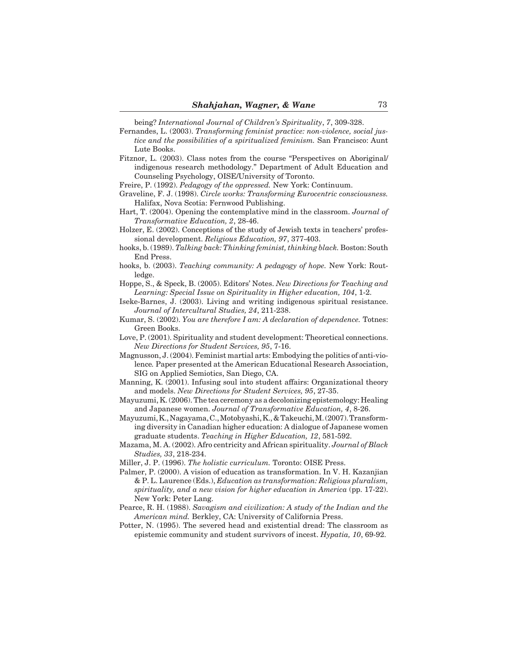being? *International Journal of Children's Spirituality*, *7*, 309-328.

- Fernandes, L. (2003). *Transforming feminist practice: non-violence, social justice and the possibilities of a spiritualized feminism.* San Francisco: Aunt Lute Books.
- Fitznor, L. (2003). Class notes from the course "Perspectives on Aboriginal/ indigenous research methodology." Department of Adult Education and Counseling Psychology, OISE/University of Toronto.
- Freire, P. (1992). *Pedagogy of the oppressed.* New York: Continuum.
- Graveline, F. J. (1998). *Circle works: Transforming Eurocentric consciousness.* Halifax, Nova Scotia: Fernwood Publishing.
- Hart, T. (2004). Opening the contemplative mind in the classroom. *Journal of Transformative Education, 2*, 28-46.
- Holzer, E. (2002). Conceptions of the study of Jewish texts in teachers' professional development. *Religious Education, 97*, 377-403.
- hooks, b. (1989). *Talking back: Thinking feminist, thinking black.* Boston: South End Press.
- hooks, b. (2003). *Teaching community: A pedagogy of hope.* New York: Routledge.
- Hoppe, S., & Speck, B. (2005). Editors' Notes. *New Directions for Teaching and Learning: Special Issue on Spirituality in Higher education, 104*, 1-2.
- Iseke-Barnes, J. (2003). Living and writing indigenous spiritual resistance. *Journal of Intercultural Studies, 24*, 211-238.
- Kumar, S. (2002). *You are therefore I am: A declaration of dependence.* Totnes: Green Books.
- Love, P. (2001). Spirituality and student development: Theoretical connections. *New Directions for Student Services, 95*, 7-16.
- Magnusson, J. (2004). Feminist martial arts: Embodying the politics of anti-violence*.* Paper presented at the American Educational Research Association, SIG on Applied Semiotics, San Diego, CA.
- Manning, K. (2001). Infusing soul into student affairs: Organizational theory and models. *New Directions for Student Services, 95*, 27-35.
- Mayuzumi, K. (2006). The tea ceremony as a decolonizing epistemology: Healing and Japanese women. *Journal of Transformative Education, 4*, 8-26.
- Mayuzumi, K., Nagayama, C., Motobyashi, K., & Takeuchi, M. (2007). Transforming diversity in Canadian higher education: A dialogue of Japanese women graduate students. *Teaching in Higher Education, 12*, 581-592.
- Mazama, M. A. (2002). Afro centricity and African spirituality. *Journal of Black Studies, 33*, 218-234.
- Miller, J. P. (1996). *The holistic curriculum.* Toronto: OISE Press.
- Palmer, P. (2000). A vision of education as transformation. In V. H. Kazanjian & P. L. Laurence (Eds.), *Education as transformation: Religious pluralism, spirituality, and a new vision for higher education in America* (pp. 17-22). New York: Peter Lang.
- Pearce, R. H. (1988). *Savagism and civilization: A study of the Indian and the American mind.* Berkley, CA: University of California Press.
- Potter, N. (1995). The severed head and existential dread: The classroom as epistemic community and student survivors of incest. *Hypatia, 10*, 69-92.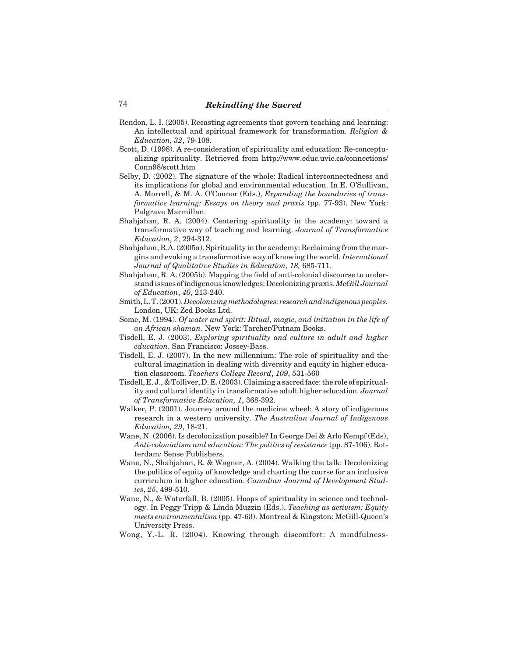- Rendon, L. I. (2005). Recasting agreements that govern teaching and learning: An intellectual and spiritual framework for transformation. *Religion & Education, 32*, 79-108.
- Scott, D. (1998). A re-consideration of spirituality and education: Re-conceptualizing spirituality. Retrieved from http://www.educ.uvic.ca/connections/ Conn98/scott.htm
- Selby, D. (2002). The signature of the whole: Radical interconnectedness and its implications for global and environmental education. In E. O'Sullivan, A. Morrell, & M. A. O'Connor (Eds.), *Expanding the boundaries of transformative learning: Essays on theory and praxis* (pp. 77-93). New York: Palgrave Macmillan.
- Shahjahan, R. A. (2004). Centering spirituality in the academy: toward a transformative way of teaching and learning. *Journal of Transformative Education*, *2*, 294-312.
- Shahjahan, R.A. (2005a). Spirituality in the academy: Reclaiming from the margins and evoking a transformative way of knowing the world. *International Journal of Qualitative Studies in Education, 18,* 685-711*.*
- Shahjahan, R. A. (2005b). Mapping the field of anti-colonial discourse to understand issues of indigenous knowledges: Decolonizing praxis. *McGill Journal of Education*, *40*, 213-240.
- Smith, L. T. (2001). *Decolonizing methodologies: research and indigenous peoples.* London, UK: Zed Books Ltd.
- Some, M. (1994). *Of water and spirit: Ritual, magic, and initiation in the life of an African shaman.* New York: Tarcher/Putnam Books.
- Tisdell, E. J. (2003). *Exploring spirituality and culture in adult and higher education*. San Francisco: Jossey-Bass.
- Tisdell, E. J. (2007). In the new millennium: The role of spirituality and the cultural imagination in dealing with diversity and equity in higher education classroom. *Teachers College Record*, *109*, 531-560
- Tisdell, E. J., & Tolliver, D. E. (2003). Claiming a sacred face: the role of spirituality and cultural identity in transformative adult higher education. *Journal of Transformative Education, 1*, 368-392.
- Walker, P. (2001). Journey around the medicine wheel: A story of indigenous research in a western university. *The Australian Journal of Indigenous Education, 29*, 18-21.
- Wane, N. (2006). Is decolonization possible? In George Dei & Arlo Kempf (Eds), *Anti-colonialism and education: The politics of resistance* (pp. 87-106). Rotterdam*:* Sense Publishers.
- Wane, N., Shahjahan, R. & Wagner, A. (2004). Walking the talk: Decolonizing the politics of equity of knowledge and charting the course for an inclusive curriculum in higher education. *Canadian Journal of Development Studies*, *25*, 499-510.
- Wane, N., & Waterfall, B. (2005). Hoops of spirituality in science and technology. In Peggy Tripp & Linda Muzzin (Eds.), *Teaching as activism: Equity meets environmentalism* (pp. 47-63). Montreal & Kingston: McGill-Queen's University Press.
- Wong, Y.-L. R. (2004). Knowing through discomfort: A mindfulness-